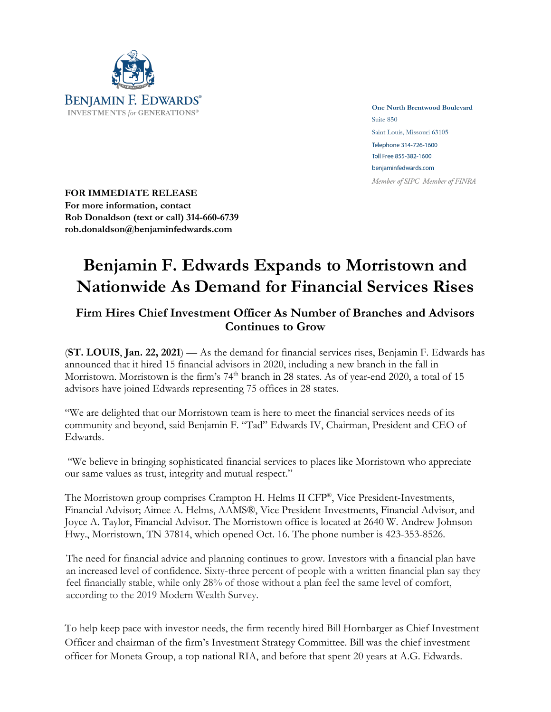

**One North Brentwood Boulevard** Suite 850 Saint Louis, Missouri 63105 Telephone 314-726-1600 Toll Free 855-382-1600 benjaminfedwards.com Member of SIPC Member of FINRA

**FOR IMMEDIATE RELEASE For more information, contact Rob Donaldson (text or call) 314-660-6739 rob.donaldson@benjaminfedwards.com**

## **Benjamin F. Edwards Expands to Morristown and Nationwide As Demand for Financial Services Rises**

## **Firm Hires Chief Investment Officer As Number of Branches and Advisors Continues to Grow**

(**ST. LOUIS**, **Jan. 22, 2021**) — As the demand for financial services rises, Benjamin F. Edwards has announced that it hired 15 financial advisors in 2020, including a new branch in the fall in Morristown. Morristown is the firm's 74<sup>th</sup> branch in 28 states. As of year-end 2020, a total of 15 advisors have joined Edwards representing 75 offices in 28 states.

"We are delighted that our Morristown team is here to meet the financial services needs of its community and beyond, said Benjamin F. "Tad" Edwards IV, Chairman, President and CEO of Edwards.

"We believe in bringing sophisticated financial services to places like Morristown who appreciate our same values as trust, integrity and mutual respect."

The Morristown group comprises Crampton H. Helms II CFP®, Vice President-Investments, Financial Advisor; Aimee A. Helms, AAMS®, Vice President-Investments, Financial Advisor, and Joyce A. Taylor, Financial Advisor. The Morristown office is located at 2640 W. Andrew Johnson Hwy., Morristown, TN 37814, which opened Oct. 16. The phone number is 423-353-8526.

The need for financial advice and planning continues to grow. Investors with a financial plan have an increased level of confidence. Sixty-three percent of people with a written financial plan say they feel financially stable, while only 28% of those without a plan feel the same level of comfort, according to the 2019 Modern Wealth Survey.

To help keep pace with investor needs, the firm recently hired Bill Hornbarger as Chief Investment Officer and chairman of the firm's Investment Strategy Committee. Bill was the chief investment officer for Moneta Group, a top national RIA, and before that spent 20 years at A.G. Edwards.